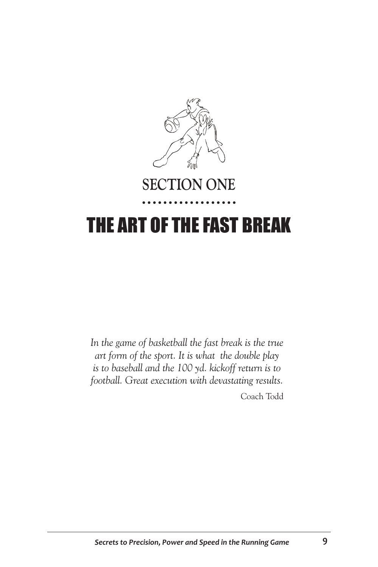

## **SECTION ONE**

## THE ART OF THE FAST BREAK

*In the game of basketball the fast break is the true art form of the sport. It is what the double play is to baseball and the 100 yd. kickoff return is to football. Great execution with devastating results.* 

Coach Todd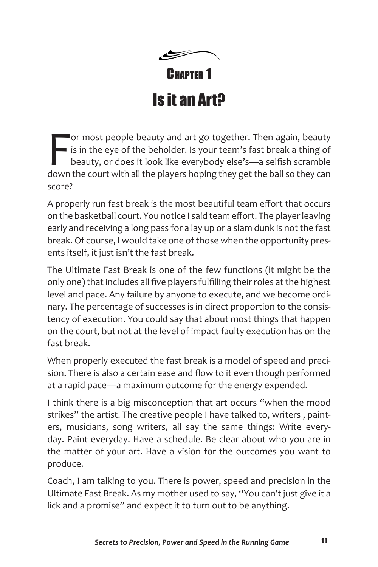CHAPTER<sub>1</sub> Is it an Art?

For most people beauty and art go together. Then again, beauty<br>
is in the eye of the beholder. Is your team's fast break a thing of<br>
beauty, or does it look like everybody else's—a selfish scramble<br>
down the court with all or most people beauty and art go together. Then again, beauty If is in the eye of the beholder. Is your team's fast break a thing of beauty, or does it look like everybody else's—a selfish scramble score?

A properly run fast break is the most beautiful team effort that occurs on the basketball court. You notice I said team effort. The player leaving early and receiving a long pass for a lay up or a slam dunk is not the fast break. Of course, I would take one of those when the opportunity presents itself, it just isn't the fast break.

The Ultimate Fast Break is one of the few functions (it might be the only one) that includes all five players fulfilling their roles at the highest level and pace. Any failure by anyone to execute, and we become ordinary. The percentage of successes is in direct proportion to the consistency of execution. You could say that about most things that happen on the court, but not at the level of impact faulty execution has on the fast break.

When properly executed the fast break is a model of speed and precision. There is also a certain ease and flow to it even though performed at a rapid pace—a maximum outcome for the energy expended.

I think there is a big misconception that art occurs "when the mood strikes" the artist. The creative people I have talked to, writers , painters, musicians, song writers, all say the same things: Write everyday. Paint everyday. Have a schedule. Be clear about who you are in the matter of your art. Have a vision for the outcomes you want to produce.

Coach, I am talking to you. There is power, speed and precision in the Ultimate Fast Break. As my mother used to say, "You can't just give it a lick and a promise" and expect it to turn out to be anything.